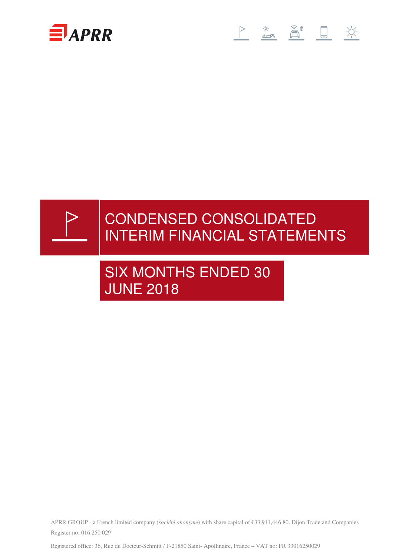





# CONDENSED CONSOLIDATED INTERIM FINANCIAL STATEMENTS

# SIX MONTHS ENDED 30 JUNE 2018

APRR GROUP - a French limited company (*société anonyme*) with share capital of €33,911,446.80. Dijon Trade and Companies Register no: 016 250 029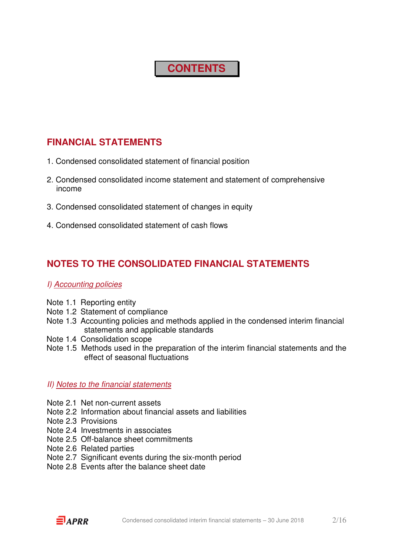## **CONTENTS**

## **FINANCIAL STATEMENTS**

- 1. Condensed consolidated statement of financial position
- 2. Condensed consolidated income statement and statement of comprehensive income
- 3. Condensed consolidated statement of changes in equity
- 4. Condensed consolidated statement of cash flows

## **NOTES TO THE CONSOLIDATED FINANCIAL STATEMENTS**

#### I) Accounting policies

- Note 1.1 Reporting entity
- Note 1.2 Statement of compliance
- Note 1.3 Accounting policies and methods applied in the condensed interim financial statements and applicable standards
- Note 1.4 Consolidation scope
- Note 1.5 Methods used in the preparation of the interim financial statements and the effect of seasonal fluctuations

#### II) Notes to the financial statements

- Note 2.1 Net non-current assets
- Note 2.2 Information about financial assets and liabilities
- Note 2.3 Provisions
- Note 2.4 Investments in associates
- Note 2.5 Off-balance sheet commitments
- Note 2.6 Related parties
- Note 2.7 Significant events during the six-month period
- Note 2.8 Events after the balance sheet date

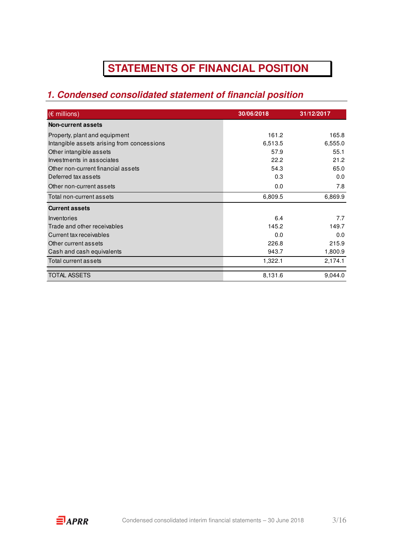## **STATEMENTS OF FINANCIAL POSITION**

## **1. Condensed consolidated statement of financial position**

| $(\epsilon$ millions)                      | 30/06/2018 | 31/12/2017 |
|--------------------------------------------|------------|------------|
| <b>Non-current assets</b>                  |            |            |
| Property, plant and equipment              | 161.2      | 165.8      |
| Intangible assets arising from concessions | 6,513.5    | 6,555.0    |
| Other intangible assets                    | 57.9       | 55.1       |
| Investments in associates                  | 22.2       | 21.2       |
| Other non-current financial assets         | 54.3       | 65.0       |
| Deferred tax assets                        | 0.3        | 0.0        |
| Other non-current assets                   | 0.0        | 7.8        |
| Total non-current assets                   | 6,809.5    | 6,869.9    |
| <b>Current assets</b>                      |            |            |
| Inventories                                | 6.4        | 7.7        |
| Trade and other receivables                | 145.2      | 149.7      |
| Current tax receivables                    | 0.0        | 0.0        |
| Other current assets                       | 226.8      | 215.9      |
| Cash and cash equivalents                  | 943.7      | 1,800.9    |
| Total current assets                       | 1,322.1    | 2,174.1    |
| TOTAL ASSETS                               | 8,131.6    | 9,044.0    |

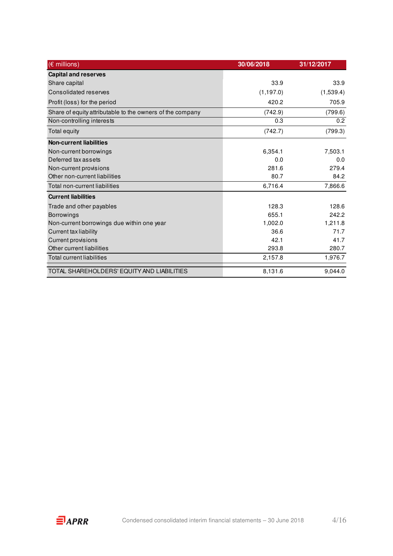| $(E \text{ millions})$                                    | 30/06/2018 | 31/12/2017 |
|-----------------------------------------------------------|------------|------------|
| <b>Capital and reserves</b>                               |            |            |
| Share capital                                             | 33.9       | 33.9       |
| Consolidated reserves                                     | (1, 197.0) | (1,539.4)  |
| Profit (loss) for the period                              | 420.2      | 705.9      |
| Share of equity attributable to the owners of the company | (742.9)    | (799.6)    |
| Non-controlling interests                                 | 0.3        | 0.2        |
| Total equity                                              | (742.7)    | (799.3)    |
| <b>Non-current liabilities</b>                            |            |            |
| Non-current borrowings                                    | 6,354.1    | 7,503.1    |
| Deferred tax assets                                       | 0.0        | 0.0        |
| Non-current provisions                                    | 281.6      | 279.4      |
| Other non-current liabilities                             | 80.7       | 84.2       |
| Total non-current liabilities                             | 6,716.4    | 7,866.6    |
| <b>Current liabilities</b>                                |            |            |
| Trade and other payables                                  | 128.3      | 128.6      |
| Borrowings                                                | 655.1      | 242.2      |
| Non-current borrowings due within one year                | 1,002.0    | 1,211.8    |
| <b>Current tax liability</b>                              | 36.6       | 71.7       |
| <b>Current provisions</b>                                 | 42.1       | 41.7       |
| Other current liabilities                                 | 293.8      | 280.7      |
| <b>Total current liabilities</b>                          | 2,157.8    | 1,976.7    |
| TOTAL SHAREHOLDERS' EQUITY AND LIABILITIES                | 8,131.6    | 9.044.0    |

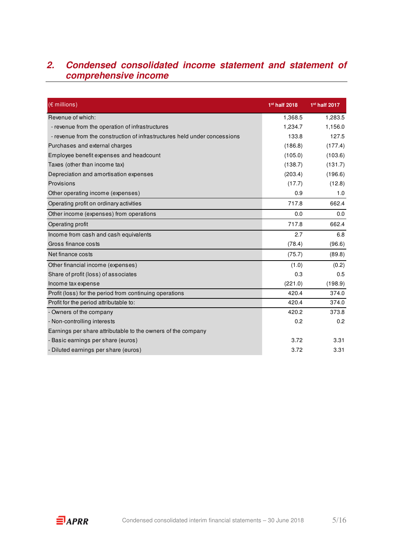## **2. Condensed consolidated income statement and statement of comprehensive income**

| $(E$ millions)                                                            | 1 <sup>st</sup> half 2018 | 1st half 2017 |
|---------------------------------------------------------------------------|---------------------------|---------------|
| Revenue of which:                                                         | 1,368.5                   | 1,283.5       |
| - revenue from the operation of infrastructures                           | 1,234.7                   | 1,156.0       |
| - revenue from the construction of infrastructures held under concessions | 133.8                     | 127.5         |
| Purchases and external charges                                            | (186.8)                   | (177.4)       |
| Employee benefit expenses and headcount                                   | (105.0)                   | (103.6)       |
| Taxes (other than income tax)                                             | (138.7)                   | (131.7)       |
| Depreciation and amortisation expenses                                    | (203.4)                   | (196.6)       |
| Provisions                                                                | (17.7)                    | (12.8)        |
| Other operating income (expenses)                                         | 0.9                       | 1.0           |
| Operating profit on ordinary activities                                   | 717.8                     | 662.4         |
| Other income (expenses) from operations                                   | 0.0                       | 0.0           |
| Operating profit                                                          | 717.8                     | 662.4         |
| Income from cash and cash equivalents                                     | 2.7                       | 6.8           |
| Gross finance costs                                                       | (78.4)                    | (96.6)        |
| Net finance costs                                                         | (75.7)                    | (89.8)        |
| Other financial income (expenses)                                         | (1.0)                     | (0.2)         |
| Share of profit (loss) of associates                                      | 0.3                       | 0.5           |
| Income tax expense                                                        | (221.0)                   | (198.9)       |
| Profit (loss) for the period from continuing operations                   | 420.4                     | 374.0         |
| Profit for the period attributable to:                                    | 420.4                     | 374.0         |
| - Owners of the company                                                   | 420.2                     | 373.8         |
| - Non-controlling interests                                               | 0.2                       | 0.2           |
| Earnings per share attributable to the owners of the company              |                           |               |
| - Basic earnings per share (euros)                                        | 3.72                      | 3.31          |
| - Diluted earnings per share (euros)                                      | 3.72                      | 3.31          |

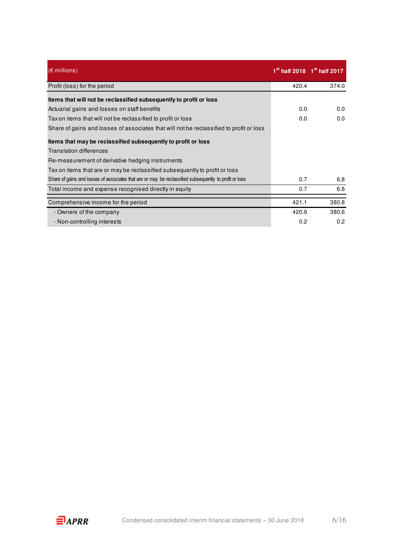| $(\epsilon$ millions)                                                                                  |       | $1st$ half 2018 $1st$ half 2017 |
|--------------------------------------------------------------------------------------------------------|-------|---------------------------------|
| Profit (loss) for the period                                                                           | 420.4 | 374.0                           |
| Items that will not be reclassified subsequently to profit or loss                                     |       |                                 |
| Actuarial gains and losses on staff benefits                                                           | 0.0   | 0.0                             |
| Tax on items that will not be reclassified to profit or loss                                           | 0.0   | 0.0                             |
| Share of gains and losses of associates that will not be reclassified to profit or loss                |       |                                 |
| Items that may be reclassified subsequently to profit or loss                                          |       |                                 |
| <b>Translation differences</b>                                                                         |       |                                 |
| Re-measurement of derivative hedging instruments                                                       |       |                                 |
| Tax on items that are or may be reclassified subsequently to profit or loss                            |       |                                 |
| Share of gains and losses of associates that are or may be reclassified subsequently to profit or loss | 0.7   | 6.8                             |
| Total income and expense recognised directly in equity                                                 | 0.7   | 6.8                             |
| Comprehensive income for the period                                                                    | 421.1 | 380.8                           |
| - Owners of the company                                                                                | 420.9 | 380.6                           |
| - Non-controlling interests                                                                            | 0.2   | 0.2                             |

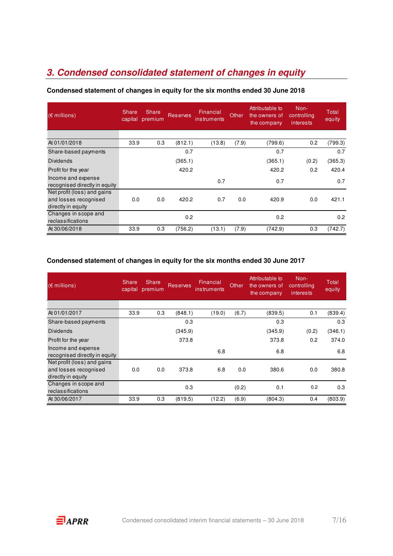## **3. Condensed consolidated statement of changes in equity**

| $(\epsilon$ millions)                                                      | <b>Share</b><br>capital | Share<br>premium | <b>Reserves</b> | Financial<br>instruments | Other | Attributable to<br>the owners of<br>the company | Non-<br>controlling<br>interests | Total<br>equity |
|----------------------------------------------------------------------------|-------------------------|------------------|-----------------|--------------------------|-------|-------------------------------------------------|----------------------------------|-----------------|
|                                                                            |                         |                  |                 |                          |       |                                                 |                                  |                 |
| At 01/01/2018                                                              | 33.9                    | 0.3              | (812.1)         | (13.8)                   | (7.9) | (799.6)                                         | 0.2                              | (799.3)         |
| Share-based payments                                                       |                         |                  | 0.7             |                          |       | 0.7                                             |                                  | 0.7             |
| <b>Dividends</b>                                                           |                         |                  | (365.1)         |                          |       | (365.1)                                         | (0.2)                            | (365.3)         |
| Profit for the year                                                        |                         |                  | 420.2           |                          |       | 420.2                                           | 0.2                              | 420.4           |
| Income and expense<br>recognised directly in equity                        |                         |                  |                 | 0.7                      |       | 0.7                                             |                                  | 0.7             |
| Net profit (loss) and gains<br>and losses recognised<br>directly in equity | 0.0                     | 0.0              | 420.2           | 0.7                      | 0.0   | 420.9                                           | 0.0                              | 421.1           |
| Changes in scope and<br>reclassifications                                  |                         |                  | 0.2             |                          |       | 0.2                                             |                                  | 0.2             |
| At 30/06/2018                                                              | 33.9                    | 0.3              | (756.2)         | (13.1)                   | (7.9) | (742.9)                                         | 0.3                              | (742.7)         |

#### **Condensed statement of changes in equity for the six months ended 30 June 2018**

#### **Condensed statement of changes in equity for the six months ended 30 June 2017**

| $(\epsilon$ millions)                               | Share,<br>capital | Share,<br>premium | <b>Reserves</b> | Financial<br>instruments | Other | Attributable to<br>the owners of<br>the company | Non-<br>controlling<br>interests | Total<br>equity |
|-----------------------------------------------------|-------------------|-------------------|-----------------|--------------------------|-------|-------------------------------------------------|----------------------------------|-----------------|
|                                                     |                   |                   |                 |                          |       |                                                 |                                  |                 |
| At 01/01/2017                                       | 33.9              | 0.3               | (848.1)         | (19.0)                   | (6.7) | (839.5)                                         | 0.1                              | (839.4)         |
| Share-based payments                                |                   |                   | 0.3             |                          |       | 0.3                                             |                                  | 0.3             |
| Dividends                                           |                   |                   | (345.9)         |                          |       | (345.9)                                         | (0.2)                            | (346.1)         |
| Profit for the year                                 |                   |                   | 373.8           |                          |       | 373.8                                           | 0.2                              | 374.0           |
| Income and expense<br>recognised directly in equity |                   |                   |                 | 6.8                      |       | 6.8                                             |                                  | 6.8             |
| Net profit (loss) and gains                         |                   |                   |                 |                          |       |                                                 |                                  |                 |
| and losses recognised<br>directly in equity         | 0.0               | 0.0               | 373.8           | 6.8                      | 0.0   | 380.6                                           | 0.0                              | 380.8           |
| Changes in scope and<br>reclassifications           |                   |                   | 0.3             |                          | (0.2) | 0.1                                             | 0.2                              | 0.3             |
| At 30/06/2017                                       | 33.9              | 0.3               | (819.5)         | (12.2)                   | (6.9) | (804.3)                                         | 0.4                              | (803.9)         |

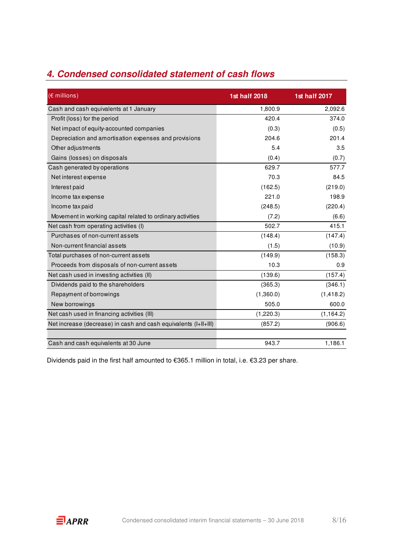|  |  |  | 4. Condensed consolidated statement of cash flows |  |  |  |
|--|--|--|---------------------------------------------------|--|--|--|
|--|--|--|---------------------------------------------------|--|--|--|

| $(E$ millions)                                                  | <b>1st half 2018</b> | 1st half 2017 |
|-----------------------------------------------------------------|----------------------|---------------|
| Cash and cash equivalents at 1 January                          | 1,800.9              | 2,092.6       |
| Profit (loss) for the period                                    | 420.4                | 374.0         |
| Net impact of equity-accounted companies                        | (0.3)                | (0.5)         |
| Depreciation and amortisation expenses and provisions           | 204.6                | 201.4         |
| Other adjustments                                               | 5.4                  | 3.5           |
| Gains (losses) on disposals                                     | (0.4)                | (0.7)         |
| Cash generated by operations                                    | 629.7                | 577.7         |
| Net interest expense                                            | 70.3                 | 84.5          |
| Interest paid                                                   | (162.5)              | (219.0)       |
| Income tax expense                                              | 221.0                | 198.9         |
| Income tax paid                                                 | (248.5)              | (220.4)       |
| Movement in working capital related to ordinary activities      | (7.2)                | (6.6)         |
| Net cash from operating activities (I)                          | 502.7                | 415.1         |
| Purchases of non-current assets                                 | (148.4)              | (147.4)       |
| Non-current financial assets                                    | (1.5)                | (10.9)        |
| Total purchases of non-current assets                           | (149.9)              | (158.3)       |
| Proceeds from disposals of non-current assets                   | 10.3                 | 0.9           |
| Net cash used in investing activities (II)                      | (139.6)              | (157.4)       |
| Dividends paid to the shareholders                              | (365.3)              | (346.1)       |
| Repayment of borrowings                                         | (1,360.0)            | (1, 418.2)    |
| New borrowings                                                  | 505.0                | 600.0         |
| Net cash used in financing activities (III)                     | (1,220.3)            | (1, 164.2)    |
| Net increase (decrease) in cash and cash equivalents (I+II+III) | (857.2)              | (906.6)       |
|                                                                 |                      |               |
| Cash and cash equivalents at 30 June                            | 943.7                | 1,186.1       |

Dividends paid in the first half amounted to €365.1 million in total, i.e. €3.23 per share.

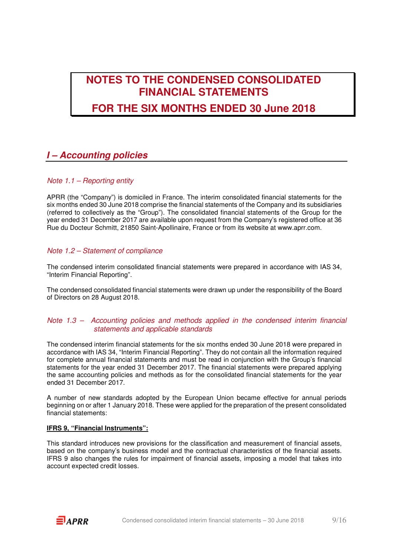## **NOTES TO THE CONDENSED CONSOLIDATED FINANCIAL STATEMENTS**

## **FOR THE SIX MONTHS ENDED 30 June 2018**

### **I – Accounting policies**

#### Note 1.1 – Reporting entity

APRR (the "Company") is domiciled in France. The interim consolidated financial statements for the six months ended 30 June 2018 comprise the financial statements of the Company and its subsidiaries (referred to collectively as the "Group"). The consolidated financial statements of the Group for the year ended 31 December 2017 are available upon request from the Company's registered office at 36 Rue du Docteur Schmitt, 21850 Saint-Apollinaire, France or from its website at www.aprr.com.

#### Note 1.2 – Statement of compliance

The condensed interim consolidated financial statements were prepared in accordance with IAS 34, "Interim Financial Reporting".

The condensed consolidated financial statements were drawn up under the responsibility of the Board of Directors on 28 August 2018.

#### Note 1.3 – Accounting policies and methods applied in the condensed interim financial statements and applicable standards

The condensed interim financial statements for the six months ended 30 June 2018 were prepared in accordance with IAS 34, "Interim Financial Reporting". They do not contain all the information required for complete annual financial statements and must be read in conjunction with the Group's financial statements for the year ended 31 December 2017. The financial statements were prepared applying the same accounting policies and methods as for the consolidated financial statements for the year ended 31 December 2017.

A number of new standards adopted by the European Union became effective for annual periods beginning on or after 1 January 2018. These were applied for the preparation of the present consolidated financial statements:

#### **IFRS 9, "Financial Instruments":**

This standard introduces new provisions for the classification and measurement of financial assets, based on the company's business model and the contractual characteristics of the financial assets. IFRS 9 also changes the rules for impairment of financial assets, imposing a model that takes into account expected credit losses.

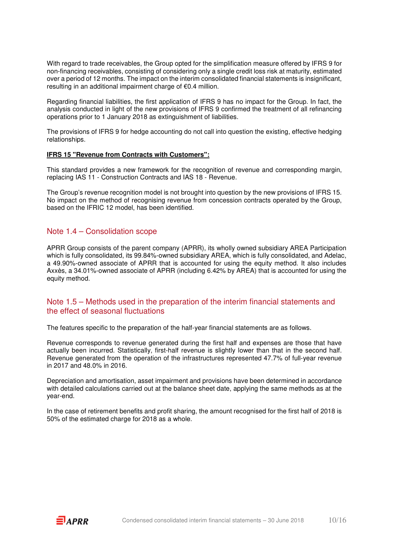With regard to trade receivables, the Group opted for the simplification measure offered by IFRS 9 for non-financing receivables, consisting of considering only a single credit loss risk at maturity, estimated over a period of 12 months. The impact on the interim consolidated financial statements is insignificant, resulting in an additional impairment charge of €0.4 million.

Regarding financial liabilities, the first application of IFRS 9 has no impact for the Group. In fact, the analysis conducted in light of the new provisions of IFRS 9 confirmed the treatment of all refinancing operations prior to 1 January 2018 as extinguishment of liabilities.

The provisions of IFRS 9 for hedge accounting do not call into question the existing, effective hedging relationships.

#### **IFRS 15 "Revenue from Contracts with Customers":**

This standard provides a new framework for the recognition of revenue and corresponding margin, replacing IAS 11 - Construction Contracts and IAS 18 - Revenue.

The Group's revenue recognition model is not brought into question by the new provisions of IFRS 15. No impact on the method of recognising revenue from concession contracts operated by the Group, based on the IFRIC 12 model, has been identified.

#### Note 1.4 – Consolidation scope

APRR Group consists of the parent company (APRR), its wholly owned subsidiary AREA Participation which is fully consolidated, its 99.84%-owned subsidiary AREA, which is fully consolidated, and Adelac, a 49.90%-owned associate of APRR that is accounted for using the equity method. It also includes Axxès, a 34.01%-owned associate of APRR (including 6.42% by AREA) that is accounted for using the equity method.

#### Note 1.5 – Methods used in the preparation of the interim financial statements and the effect of seasonal fluctuations

The features specific to the preparation of the half-year financial statements are as follows.

Revenue corresponds to revenue generated during the first half and expenses are those that have actually been incurred. Statistically, first-half revenue is slightly lower than that in the second half. Revenue generated from the operation of the infrastructures represented 47.7% of full-year revenue in 2017 and 48.0% in 2016.

Depreciation and amortisation, asset impairment and provisions have been determined in accordance with detailed calculations carried out at the balance sheet date, applying the same methods as at the year-end.

In the case of retirement benefits and profit sharing, the amount recognised for the first half of 2018 is 50% of the estimated charge for 2018 as a whole.

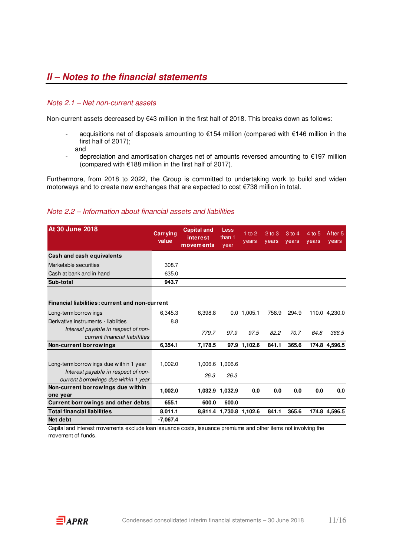## **II – Notes to the financial statements**

#### Note 2.1 – Net non-current assets

Non-current assets decreased by €43 million in the first half of 2018. This breaks down as follows:

- acquisitions net of disposals amounting to €154 million (compared with €146 million in the first half of 2017); and
- depreciation and amortisation charges net of amounts reversed amounting to €197 million (compared with €188 million in the first half of 2017).

Furthermore, from 2018 to 2022, the Group is committed to undertaking work to build and widen motorways and to create new exchanges that are expected to cost €738 million in total.

#### Note 2.2 – Information about financial assets and liabilities

| <b>At 30 June 2018</b>                         | <b>Carrying</b><br>value | <b>Capital and</b><br>interest<br>movements | Less<br>than 1<br>year  | $1$ to $2$<br>years | $2$ to $3$<br>vears | $3$ to 4<br>years | $4$ to 5<br>vears | After 5<br>years |
|------------------------------------------------|--------------------------|---------------------------------------------|-------------------------|---------------------|---------------------|-------------------|-------------------|------------------|
| Cash and cash equivalents                      |                          |                                             |                         |                     |                     |                   |                   |                  |
| Marketable securities                          | 308.7                    |                                             |                         |                     |                     |                   |                   |                  |
| Cash at bank and in hand                       | 635.0                    |                                             |                         |                     |                     |                   |                   |                  |
| Sub-total                                      | 943.7                    |                                             |                         |                     |                     |                   |                   |                  |
|                                                |                          |                                             |                         |                     |                     |                   |                   |                  |
| Financial liabilities: current and non-current |                          |                                             |                         |                     |                     |                   |                   |                  |
| Long-term borrow ings                          | 6,345.3                  | 6,398.8                                     |                         | $0.0$ 1,005.1       | 758.9               | 294.9             |                   | 110.0 4,230.0    |
| Derivative instruments - liabilities           | 8.8                      |                                             |                         |                     |                     |                   |                   |                  |
| Interest payable in respect of non-            |                          | 779.7                                       | 97.9                    | 97.5                | 82.2                | 70.7              | 64.8              | 366.5            |
| current financial liabilities                  |                          |                                             |                         |                     |                     |                   |                   |                  |
| Non-current borrowings                         | 6,354.1                  | 7,178.5                                     |                         | 97.9 1,102.6        | 841.1               | 365.6             |                   | 174.8 4,596.5    |
|                                                |                          |                                             |                         |                     |                     |                   |                   |                  |
| Long-term borrow ings due within 1 year        | 1,002.0                  |                                             | 1,006.6 1,006.6         |                     |                     |                   |                   |                  |
| Interest payable in respect of non-            |                          | 26.3                                        | 26.3                    |                     |                     |                   |                   |                  |
| current borrowings due within 1 year           |                          |                                             |                         |                     |                     |                   |                   |                  |
| Non-current borrowings due within              | 1,002.0                  |                                             | 1,032.9 1,032.9         | 0.0                 | 0.0                 | 0.0               | 0.0               | 0.0              |
| one year                                       |                          |                                             |                         |                     |                     |                   |                   |                  |
| Current borrowings and other debts             | 655.1                    | 600.0                                       | 600.0                   |                     |                     |                   |                   |                  |
| <b>Total financial liabilities</b>             | 8,011.1                  |                                             | 8,811.4 1,730.8 1,102.6 |                     | 841.1               | 365.6             |                   | 174.8 4,596.5    |
| Net debt                                       | $-7,067.4$               |                                             |                         |                     |                     |                   |                   |                  |

Capital and interest movements exclude loan issuance costs, issuance premiums and other items not involving the movement of funds.

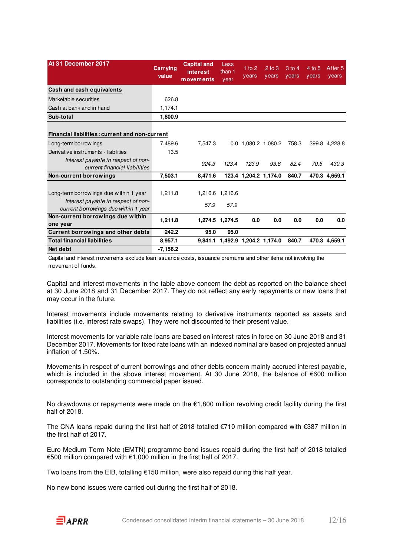| At 31 December 2017                                                                                                    | <b>Carrying</b><br>value | <b>Capital and</b><br>interest<br>movements | Less<br>than 1<br>year          | $1$ to $2$<br>years | $2$ to $3$<br>years   | $3$ to 4<br>years | 4 to 5<br>years | After 5<br>years |
|------------------------------------------------------------------------------------------------------------------------|--------------------------|---------------------------------------------|---------------------------------|---------------------|-----------------------|-------------------|-----------------|------------------|
| Cash and cash equivalents                                                                                              |                          |                                             |                                 |                     |                       |                   |                 |                  |
| Marketable securities                                                                                                  | 626.8                    |                                             |                                 |                     |                       |                   |                 |                  |
| Cash at bank and in hand                                                                                               | 1,174.1                  |                                             |                                 |                     |                       |                   |                 |                  |
| Sub-total                                                                                                              | 1,800.9                  |                                             |                                 |                     |                       |                   |                 |                  |
| <b>Financial liabilities: current and non-current</b>                                                                  |                          |                                             |                                 |                     |                       |                   |                 |                  |
| Long-term borrow ings                                                                                                  | 7.489.6                  | 7.547.3                                     |                                 |                     | 0.0 1,080.2 1,080.2   | 758.3             |                 | 399.8 4,228.8    |
| Derivative instruments - liabilities                                                                                   | 13.5                     |                                             |                                 |                     |                       |                   |                 |                  |
| Interest payable in respect of non-<br>current financial liabilities                                                   |                          | 924.3                                       | 123.4                           | 123.9               | 93.8                  | 82.4              | 70.5            | 430.3            |
| Non-current borrowings                                                                                                 | 7,503.1                  | 8,471.6                                     |                                 |                     | 123.4 1,204.2 1,174.0 | 840.7             |                 | 470.3 4,659.1    |
| Long-term borrow ings due within 1 year<br>Interest payable in respect of non-<br>current borrowings due within 1 year | 1,211.8                  | 57.9                                        | 1,216.6 1,216.6<br>57.9         |                     |                       |                   |                 |                  |
| Non-current borrowings due within<br>one year                                                                          | 1,211.8                  |                                             | 1,274.5 1,274.5                 | 0.0                 | 0.0                   | 0.0               | 0.0             | 0.0              |
| Current borrowings and other debts                                                                                     | 242.2                    | 95.0                                        | 95.0                            |                     |                       |                   |                 |                  |
| <b>Total financial liabilities</b>                                                                                     | 8,957.1                  |                                             | 9,841.1 1,492.9 1,204.2 1,174.0 |                     |                       | 840.7             |                 | 470.3 4.659.1    |
| Net debt                                                                                                               | $-7,156.2$               |                                             |                                 |                     |                       |                   |                 |                  |

Capital and interest movements exclude loan issuance costs, issuance premiums and other items not involving the movement of funds.

Capital and interest movements in the table above concern the debt as reported on the balance sheet at 30 June 2018 and 31 December 2017. They do not reflect any early repayments or new loans that may occur in the future.

Interest movements include movements relating to derivative instruments reported as assets and liabilities (i.e. interest rate swaps). They were not discounted to their present value.

Interest movements for variable rate loans are based on interest rates in force on 30 June 2018 and 31 December 2017. Movements for fixed rate loans with an indexed nominal are based on projected annual inflation of 1.50%.

Movements in respect of current borrowings and other debts concern mainly accrued interest payable, which is included in the above interest movement. At 30 June 2018, the balance of €600 million corresponds to outstanding commercial paper issued.

No drawdowns or repayments were made on the €1,800 million revolving credit facility during the first half of 2018.

The CNA loans repaid during the first half of 2018 totalled €710 million compared with €387 million in the first half of 2017.

Euro Medium Term Note (EMTN) programme bond issues repaid during the first half of 2018 totalled €500 million compared with €1,000 million in the first half of 2017.

Two loans from the EIB, totalling  $\epsilon$ 150 million, were also repaid during this half year.

No new bond issues were carried out during the first half of 2018.

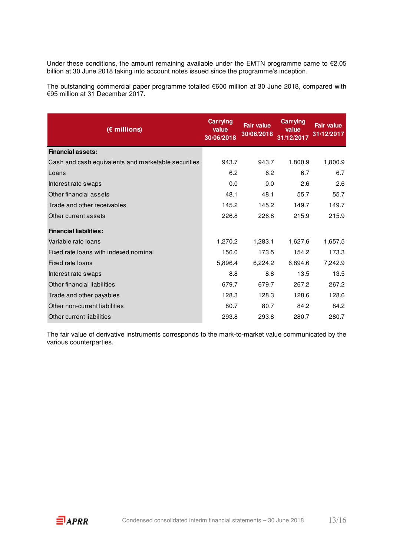Under these conditions, the amount remaining available under the EMTN programme came to €2.05 billion at 30 June 2018 taking into account notes issued since the programme's inception.

The outstanding commercial paper programme totalled €600 million at 30 June 2018, compared with €95 million at 31 December 2017.

| (€ millions)                                        | <b>Carrying</b><br>value<br>30/06/2018 | <b>Fair value</b><br>30/06/2018 | <b>Carrying</b><br>value<br>31/12/2017 | <b>Fair value</b><br>31/12/2017 |
|-----------------------------------------------------|----------------------------------------|---------------------------------|----------------------------------------|---------------------------------|
| <b>Financial assets:</b>                            |                                        |                                 |                                        |                                 |
| Cash and cash equivalents and marketable securities | 943.7                                  | 943.7                           | 1,800.9                                | 1,800.9                         |
| Loans                                               | 6.2                                    | 6.2                             | 6.7                                    | 6.7                             |
| Interest rate swaps                                 | 0.0                                    | 0.0                             | 2.6                                    | 2.6                             |
| Other financial assets                              | 48.1                                   | 48.1                            | 55.7                                   | 55.7                            |
| Trade and other receivables                         | 145.2                                  | 145.2                           | 149.7                                  | 149.7                           |
| Other current assets                                | 226.8                                  | 226.8                           | 215.9                                  | 215.9                           |
| <b>Financial liabilities:</b>                       |                                        |                                 |                                        |                                 |
| Variable rate loans                                 | 1,270.2                                | 1,283.1                         | 1,627.6                                | 1,657.5                         |
| Fixed rate loans with indexed nominal               | 156.0                                  | 173.5                           | 154.2                                  | 173.3                           |
| Fixed rate loans                                    | 5,896.4                                | 6,224.2                         | 6,894.6                                | 7,242.9                         |
| Interest rate swaps                                 | 8.8                                    | 8.8                             | 13.5                                   | 13.5                            |
| Other financial liabilities                         | 679.7                                  | 679.7                           | 267.2                                  | 267.2                           |
| Trade and other payables                            | 128.3                                  | 128.3                           | 128.6                                  | 128.6                           |
| Other non-current liabilities                       | 80.7                                   | 80.7                            | 84.2                                   | 84.2                            |
| Other current liabilities                           | 293.8                                  | 293.8                           | 280.7                                  | 280.7                           |

The fair value of derivative instruments corresponds to the mark-to-market value communicated by the various counterparties.

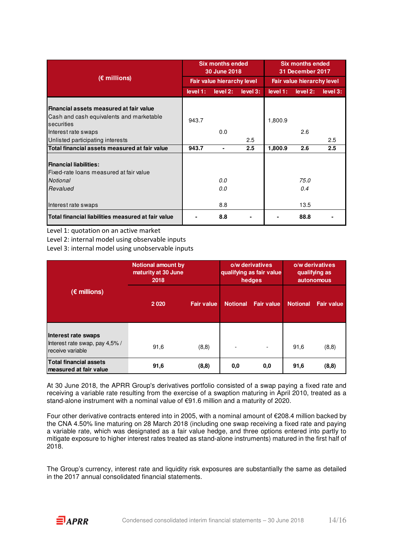|                                                                                                   |          | <b>Six months ended</b><br>30 June 2018 |          |          | <b>Six months ended</b><br>31 December 2017 |          |  |  |
|---------------------------------------------------------------------------------------------------|----------|-----------------------------------------|----------|----------|---------------------------------------------|----------|--|--|
| $(E$ millions)                                                                                    |          | Fair value hierarchy level              |          |          | Fair value hierarchy level                  |          |  |  |
|                                                                                                   | level 1: | level 2:                                | level 3: | level 1: | level 2:                                    | level 3: |  |  |
| Financial assets measured at fair value<br>Cash and cash equivalents and marketable<br>securities | 943.7    |                                         |          | 1,800.9  |                                             |          |  |  |
| Interest rate swaps                                                                               |          | 0.0                                     |          |          | 2.6                                         |          |  |  |
| Unlisted participating interests                                                                  |          |                                         | 2.5      |          |                                             | 2.5      |  |  |
| Total financial assets measured at fair value                                                     | 943.7    | $\blacksquare$                          | 2.5      | 1,800.9  | 2.6                                         | 2.5      |  |  |
| <b>Financial liabilities:</b><br>Fixed-rate loans measured at fair value<br>Notional<br>Revalued  |          | 0.0<br>0.0                              |          |          | 75.0<br>0.4                                 |          |  |  |
| Interest rate swaps                                                                               |          | 8.8                                     |          |          | 13.5                                        |          |  |  |
| Total financial liabilities measured at fair value                                                |          | 8.8                                     |          |          | 88.8                                        |          |  |  |

Level 1: quotation on an active market

Level 2: internal model using observable inputs

Level 3: internal model using unobservable inputs

|                                                                          | <b>Notional amount by</b><br>maturity at 30 June<br>2018 |                   | o/w derivatives<br>qualifying as fair value<br>hedges |                          | o/w derivatives<br>qualifying as<br><b>autonomous</b> |                   |
|--------------------------------------------------------------------------|----------------------------------------------------------|-------------------|-------------------------------------------------------|--------------------------|-------------------------------------------------------|-------------------|
| $(\epsilon$ millions)                                                    | 2020                                                     | <b>Fair value</b> | <b>Notional</b>                                       | <b>Fair value</b>        | <b>Notional</b>                                       | <b>Fair value</b> |
| Interest rate swaps<br>Interest rate swap, pay 4,5%/<br>receive variable | 91,6                                                     | (8, 8)            |                                                       | $\overline{\phantom{a}}$ | 91,6                                                  | (8,8)             |
| <b>Total financial assets</b><br>measured at fair value                  | 91,6                                                     | (8, 8)            | 0,0                                                   | 0,0                      | 91,6                                                  | (8, 8)            |

At 30 June 2018, the APRR Group's derivatives portfolio consisted of a swap paying a fixed rate and receiving a variable rate resulting from the exercise of a swaption maturing in April 2010, treated as a stand-alone instrument with a nominal value of €91.6 million and a maturity of 2020.

Four other derivative contracts entered into in 2005, with a nominal amount of €208.4 million backed by the CNA 4.50% line maturing on 28 March 2018 (including one swap receiving a fixed rate and paying a variable rate, which was designated as a fair value hedge, and three options entered into partly to mitigate exposure to higher interest rates treated as stand-alone instruments) matured in the first half of 2018.

The Group's currency, interest rate and liquidity risk exposures are substantially the same as detailed in the 2017 annual consolidated financial statements.

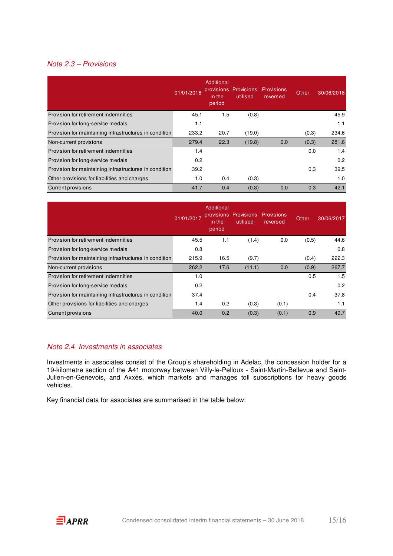#### Note 2.3 – Provisions

|                                                        | 01/01/2018 | Additional<br>provisions<br>in the<br>period | <b>Provisions</b><br>utilised | <b>Provisions</b><br>reversed | Other | 30/06/2018 |
|--------------------------------------------------------|------------|----------------------------------------------|-------------------------------|-------------------------------|-------|------------|
| Provision for retirement indemnities                   | 45.1       | 1.5                                          | (0.8)                         |                               |       | 45.9       |
| Provision for long-service medals                      | 1.1        |                                              |                               |                               |       | 1.1        |
| Provision for maintaining infrastructures in condition | 233.2      | 20.7                                         | (19.0)                        |                               | (0.3) | 234.6      |
| Non-current provisions                                 | 279.4      | 22.3                                         | (19.8)                        | 0.0                           | (0.3) | 281.6      |
| Provision for retirement indemnities                   | 1.4        |                                              |                               |                               | 0.0   | 1.4        |
| Provision for long-service medals                      | 0.2        |                                              |                               |                               |       | 0.2        |
| Provision for maintaining infrastructures in condition | 39.2       |                                              |                               |                               | 0.3   | 39.5       |
| Other provisions for liabilities and charges           | 1.0        | 0.4                                          | (0.3)                         |                               |       | 1.0        |
| <b>Current provisions</b>                              | 41.7       | 0.4                                          | (0.3)                         | 0.0                           | 0.3   | 42.1       |

|                                                        | 01/01/2017 | Additional<br>provisions<br>in the<br>period | <b>Provisions</b><br>utilised | Provisions<br>reversed | Other | 30/06/2017 |
|--------------------------------------------------------|------------|----------------------------------------------|-------------------------------|------------------------|-------|------------|
| Provision for retirement indemnities                   | 45.5       | 1.1                                          | (1.4)                         | 0.0                    | (0.5) | 44.6       |
| Provision for long-service medals                      | 0.8        |                                              |                               |                        |       | 0.8        |
| Provision for maintaining infrastructures in condition | 215.9      | 16.5                                         | (9.7)                         |                        | (0.4) | 222.3      |
| Non-current provisions                                 | 262.2      | 17.6                                         | (11.1)                        | 0.0                    | (0.9) | 267.7      |
| Provision for retirement indemnities                   | 1.0        |                                              |                               |                        | 0.5   | 1.5        |
| Provision for long-service medals                      | 0.2        |                                              |                               |                        |       | 0.2        |
| Provision for maintaining infrastructures in condition | 37.4       |                                              |                               |                        | 0.4   | 37.8       |
| Other provisions for liabilities and charges           | 1.4        | 0.2                                          | (0.3)                         | (0.1)                  |       | 1.1        |
| <b>Current provisions</b>                              | 40.0       | 0.2                                          | (0.3)                         | (0.1)                  | 0.9   | 40.7       |

#### Note 2.4 Investments in associates

Investments in associates consist of the Group's shareholding in Adelac, the concession holder for a 19-kilometre section of the A41 motorway between Villy-le-Pelloux - Saint-Martin-Bellevue and Saint-Julien-en-Genevois, and Axxès, which markets and manages toll subscriptions for heavy goods vehicles.

Key financial data for associates are summarised in the table below: